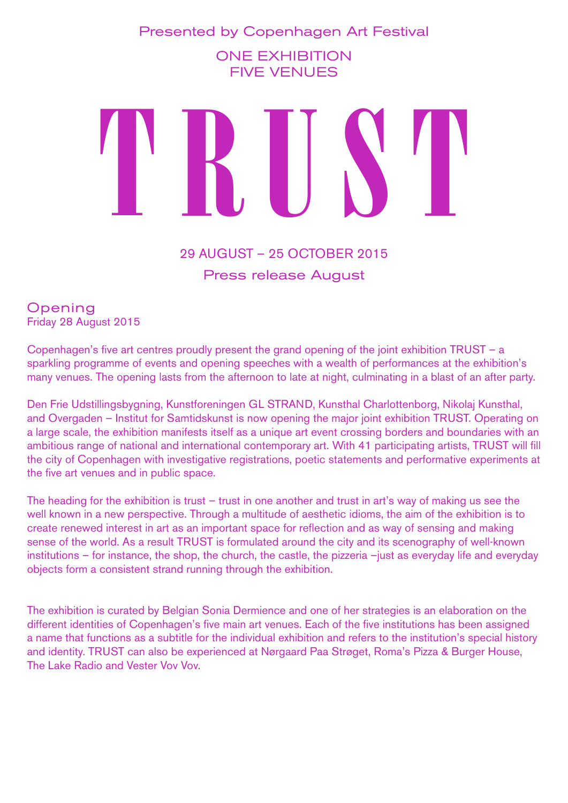Copenhagen Art Festival Presented by Copenhagen Art Festival

> ONE EXHIBITION ONE EXHIBITION FIVE VENUES FIVE VENUES

# TRUST

29 AUGUST – 2002 – 2002 – 2003 – 2003 – 2003 – 2003 – 2003 – 2003 – 2003 – 2003 – 2004 – 2003 – 2003 – 2004 –<br>2004 – 2005 – 2005 – 2005 – 2005 – 2005 – 2005 – 2005 – 2005 – 2005 – 2005 – 2005 – 2005 – 2005 – 2005 – 2005 Press release August 29 AUGUST – 25 OCTOBER 2015

**Opening** Friday 28 August 2015

sparkling programme of events and opening speeches with a wealth of performances at the exhibition's many venues. The opening lasts from the afternoon to late at night, culminating in a blast of an after party. Copenhagen's five art centres proudly present the grand opening of the joint exhibition TRUST – a

Den Frie Udstillingsbygning, Kunstforeningen GL STRAND, Kunsthal Charlottenborg, Nikolaj Kunsthal, and Overgaden – Institut for Samtidskunst is now opening the major joint exhibition TRUST. Operating on a large scale, the exhibition manifests itself as a unique art event crossing borders and boundaries with an ambitious range of national and international contemporary art. With 41 participating artists, TRUST will fill the city of Copenhagen with investigative registrations, poetic statements and performative experiments at the five art venues and in public space.

The heading for the exhibition is trust – trust in one another and trust in art's way of making us see the well known in a new perspective. Through a multitude of aesthetic idioms, the aim of the exhibition is to create renewed interest in art as an important space for reflection and as way of sensing and making sense of the world. As a result TRUST is formulated around the city and its scenography of well-known institutions – for instance, the shop, the church, the castle, the pizzeria –just as everyday life and everyday objects form a consistent strand running through the exhibition.

The exhibition is curated by Belgian Sonia Dermience and one of her strategies is an elaboration on the different identities of Copenhagen's five main art venues. Each of the five institutions has been assigned a name that functions as a subtitle for the individual exhibition and refers to the institution's special history and identity. TRUST can also be experienced at Nørgaard Paa Strøget, Roma's Pizza & Burger House, The Lake Radio and Vester Vov Vov.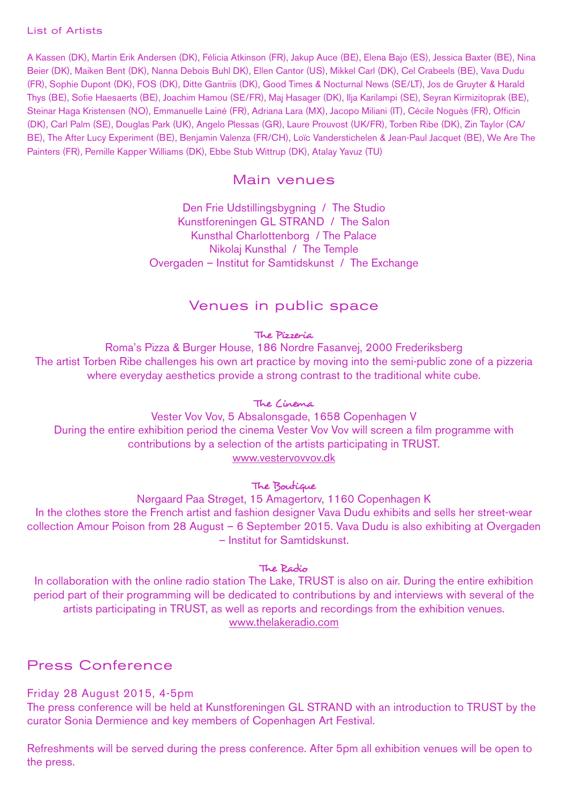#### List of Artists

A Kassen (DK), Martin Erik Andersen (DK), Félicia Atkinson (FR), Jakup Auce (BE), Elena Bajo (ES), Jessica Baxter (BE), Nina Beier (DK), Maiken Bent (DK), Nanna Debois Buhl DK), Ellen Cantor (US), Mikkel Carl (DK), Cel Crabeels (BE), Vava Dudu (FR), Sophie Dupont (DK), FOS (DK), Ditte Gantriis (DK), Good Times & Nocturnal News (SE/LT), Jos de Gruyter & Harald Thys (BE), Sofie Haesaerts (BE), Joachim Hamou (SE/FR), Maj Hasager (DK), Ilja Karilampi (SE), Seyran Kirmizitoprak (BE), Steinar Haga Kristensen (NO), Emmanuelle Lainé (FR), Adriana Lara (MX), Jacopo Miliani (IT), Cécile Noguès (FR), Officin (DK), Carl Palm (SE), Douglas Park (UK), Angelo Plessas (GR), Laure Prouvost (UK/FR), Torben Ribe (DK), Zin Taylor (CA/ BE), The After Lucy Experiment (BE), Benjamin Valenza (FR/CH), Loïc Vanderstichelen & Jean-Paul Jacquet (BE), We Are The Painters (FR), Pernille Kapper Williams (DK), Ebbe Stub Wittrup (DK), Atalay Yavuz (TU)

## Main venues

Den Frie Udstillingsbygning / The Studio Kunstforeningen GL STRAND / The Salon Kunsthal Charlottenborg / The Palace Nikolaj Kunsthal / The Temple Overgaden – Institut for Samtidskunst / The Exchange

## Venues in public space

The Pizzeria

Roma's Pizza & Burger House, 186 Nordre Fasanvej, 2000 Frederiksberg The artist Torben Ribe challenges his own art practice by moving into the semi-public zone of a pizzeria where everyday aesthetics provide a strong contrast to the traditional white cube.

The Cinema

Vester Vov Vov, 5 Absalonsgade, 1658 Copenhagen V During the entire exhibition period the cinema Vester Vov Vov will screen a film programme with contributions by a selection of the artists participating in TRUST. [www.vestervovvov.dk](http://www.vestervovvov.dk )

The Boutique

Nørgaard Paa Strøget, 15 Amagertorv, 1160 Copenhagen K In the clothes store the French artist and fashion designer Vava Dudu exhibits and sells her street-wear collection Amour Poison from 28 August – 6 September 2015. Vava Dudu is also exhibiting at Overgaden – Institut for Samtidskunst.

#### The Radio

In collaboration with the online radio station The Lake, TRUST is also on air. During the entire exhibition period part of their programming will be dedicated to contributions by and interviews with several of the artists participating in TRUST, as well as reports and recordings from the exhibition venues. [www.thelakeradio.com](http://www.thelakeradio.com )

# Press Conference

#### Friday 28 August 2015, 4-5pm

The press conference will be held at Kunstforeningen GL STRAND with an introduction to TRUST by the curator Sonia Dermience and key members of Copenhagen Art Festival.

Refreshments will be served during the press conference. After 5pm all exhibition venues will be open to the press.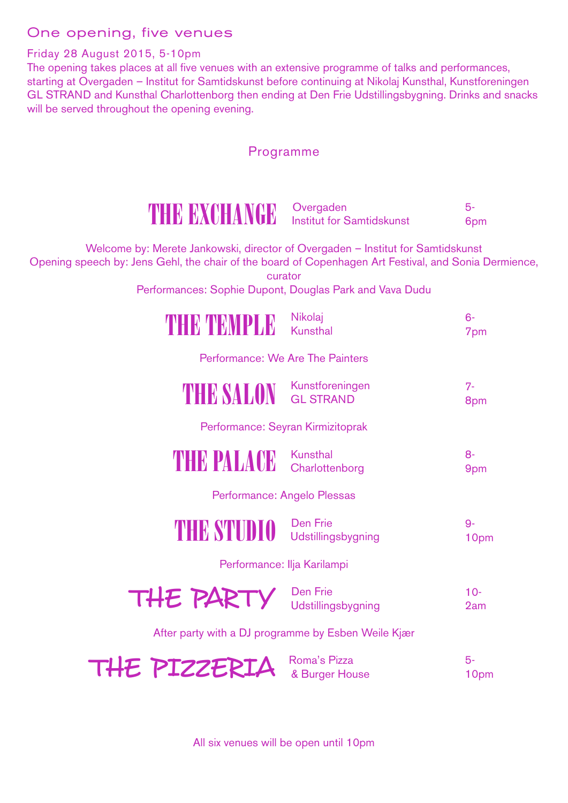# One opening, five venues

## Friday 28 August 2015, 5-10pm

The opening takes places at all five venues with an extensive programme of talks and performances, starting at Overgaden – Institut for Samtidskunst before continuing at Nikolaj Kunsthal, Kunstforeningen GL STRAND and Kunsthal Charlottenborg then ending at Den Frie Udstillingsbygning. Drinks and snacks will be served throughout the opening evening.

### Programme

| <b>THE BX GHANGER</b>                                                                                                                                                                                                                                          | Overgaden<br><b>Institut for Samtidskunst</b> | $5-$<br>6pm  |
|----------------------------------------------------------------------------------------------------------------------------------------------------------------------------------------------------------------------------------------------------------------|-----------------------------------------------|--------------|
| Welcome by: Merete Jankowski, director of Overgaden - Institut for Samtidskunst<br>Opening speech by: Jens Gehl, the chair of the board of Copenhagen Art Festival, and Sonia Dermience,<br>curator<br>Performances: Sophie Dupont, Douglas Park and Vava Dudu |                                               |              |
| <b>ANHI RAAN RAY I PENER</b>                                                                                                                                                                                                                                   | Nikolaj<br><b>Kunsthal</b>                    | $6 -$<br>7pm |
| Performance: We Are The Painters                                                                                                                                                                                                                               |                                               |              |
| <b>THE SALON</b>                                                                                                                                                                                                                                               | Kunstforeningen<br><b>GL STRAND</b>           | $7 -$<br>8pm |
| Performance: Seyran Kirmizitoprak                                                                                                                                                                                                                              |                                               |              |
| THE PALACE                                                                                                                                                                                                                                                     | Kunsthal<br>Charlottenborg                    | $8-$<br>9pm  |
| Performance: Angelo Plessas                                                                                                                                                                                                                                    |                                               |              |
| <b>THE STUDIO</b>                                                                                                                                                                                                                                              | <b>Den Frie</b><br>Udstillingsbygning         | $9-$<br>10pm |
| Performance: Ilja Karilampi                                                                                                                                                                                                                                    |                                               |              |
| THE PARTY                                                                                                                                                                                                                                                      | Den Frie<br>Udstillingsbygning                | $10-$<br>2am |
| After party with a DJ programme by Esben Weile Kjær                                                                                                                                                                                                            |                                               |              |
| THE PIZZERIA                                                                                                                                                                                                                                                   | Roma's Pizza<br>& Burger House                | $5-$<br>10pm |

All six venues will be open until 10pm